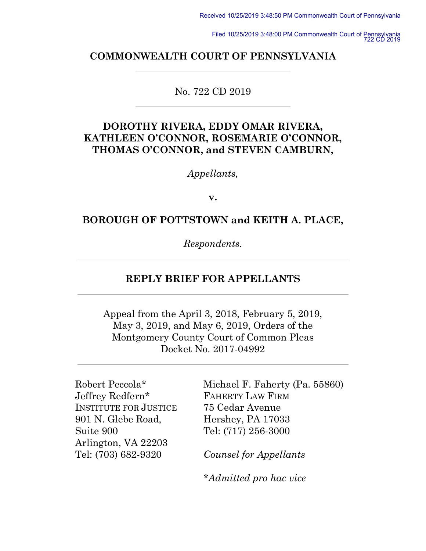Filed 10/25/2019 3:48:00 PM Commonwealth Court of Pennsylvania 722 CD 2019

#### **COMMONWEALTH COURT OF PENNSYLVANIA**

No. 722 CD 2019

## **DOROTHY RIVERA, EDDY OMAR RIVERA, KATHLEEN O'CONNOR, ROSEMARIE O'CONNOR, THOMAS O'CONNOR, and STEVEN CAMBURN,**

*Appellants,*

**v.**

### **BOROUGH OF POTTSTOWN and KEITH A. PLACE,**

*Respondents.*

### **REPLY BRIEF FOR APPELLANTS**

Appeal from the April 3, 2018, February 5, 2019, May 3, 2019, and May 6, 2019, Orders of the Montgomery County Court of Common Pleas Docket No. 2017-04992

Robert Peccola\* Jeffrey Redfern\* INSTITUTE FOR JUSTICE 901 N. Glebe Road, Suite 900 Arlington, VA 22203 Tel: (703) 682-9320

Michael F. Faherty (Pa. 55860) FAHERTY LAW FIRM 75 Cedar Avenue Hershey, PA 17033 Tel: (717) 256-3000

*Counsel for Appellants* 

*\*Admitted pro hac vice*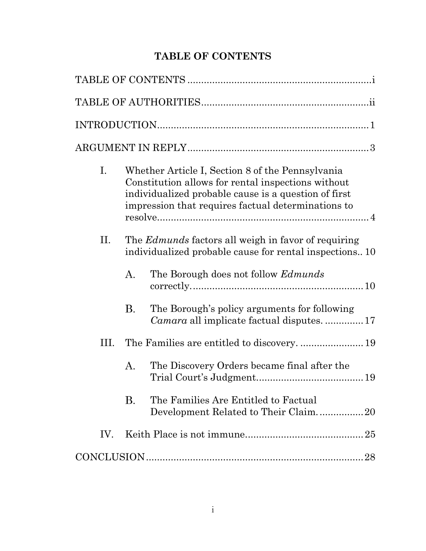# **TABLE OF CONTENTS**

<span id="page-1-0"></span>

| Ι.   | Whether Article I, Section 8 of the Pennsylvania<br>Constitution allows for rental inspections without<br>individualized probable cause is a question of first<br>impression that requires factual determinations to |  |  |  |  |
|------|----------------------------------------------------------------------------------------------------------------------------------------------------------------------------------------------------------------------|--|--|--|--|
| II.  | The <i>Edmunds</i> factors all weigh in favor of requiring<br>individualized probable cause for rental inspections10                                                                                                 |  |  |  |  |
|      | А.<br>The Borough does not follow <i>Edmunds</i>                                                                                                                                                                     |  |  |  |  |
|      | The Borough's policy arguments for following<br>В.<br><i>Camara</i> all implicate factual disputes17                                                                                                                 |  |  |  |  |
| III. | The Families are entitled to discovery.  19                                                                                                                                                                          |  |  |  |  |
|      | The Discovery Orders became final after the<br>A.                                                                                                                                                                    |  |  |  |  |
|      | <b>B.</b><br>The Families Are Entitled to Factual<br>Development Related to Their Claim20                                                                                                                            |  |  |  |  |
| IV.  |                                                                                                                                                                                                                      |  |  |  |  |
|      | 28                                                                                                                                                                                                                   |  |  |  |  |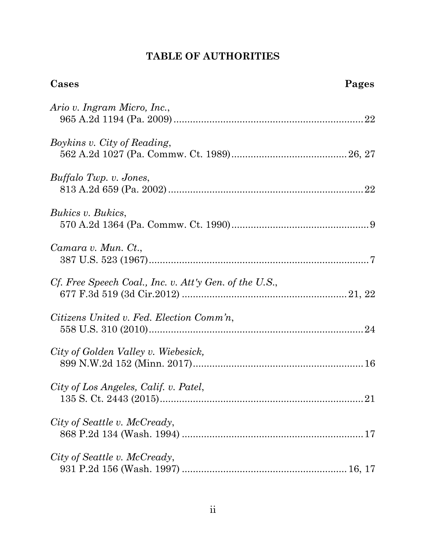# **TABLE OF AUTHORITIES**

<span id="page-2-0"></span>

| Cases                                                  | Pages |
|--------------------------------------------------------|-------|
| Ario v. Ingram Micro, Inc.,                            |       |
| Boykins v. City of Reading,                            |       |
| Buffalo Twp. v. Jones,                                 |       |
| Bukics v. Bukics,                                      |       |
| Camara v. Mun. Ct.,                                    |       |
| Cf. Free Speech Coal., Inc. v. Att'y Gen. of the U.S., |       |
| Citizens United v. Fed. Election Comm'n,               |       |
| City of Golden Valley v. Wiebesick,                    |       |
| City of Los Angeles, Calif. v. Patel,                  |       |
| City of Seattle v. McCready,                           |       |
| City of Seattle v. McCready,                           |       |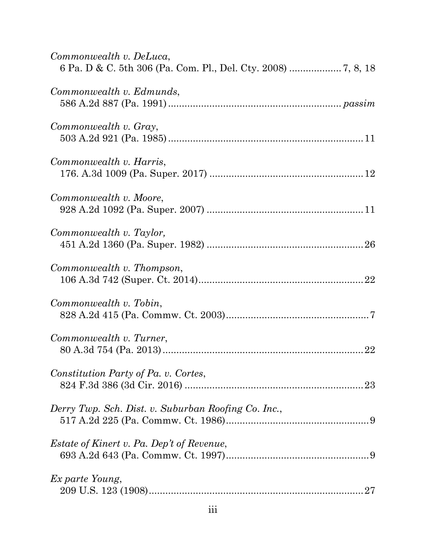| Commonwealth v. DeLuca,                             |
|-----------------------------------------------------|
| Commonwealth v. Edmunds,                            |
| Commonwealth v. Gray,                               |
| Commonwealth v. Harris,                             |
| Commonwealth v. Moore,                              |
| Commonwealth v. Taylor,                             |
| Commonwealth v. Thompson,                           |
| Commonwealth v. Tobin,                              |
| Commonwealth v. Turner,<br>22                       |
| Constitution Party of Pa. v. Cortes,                |
| Derry Twp. Sch. Dist. v. Suburban Roofing Co. Inc., |
| <i>Estate of Kinert v. Pa. Dep't of Revenue,</i>    |
| Ex parte Young,                                     |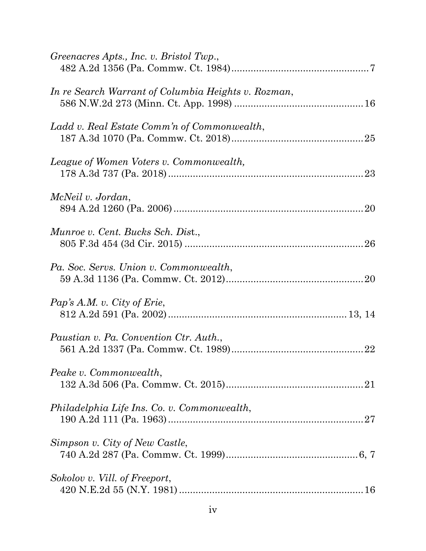| Greenacres Apts., Inc. v. Bristol Twp.,             |
|-----------------------------------------------------|
| In re Search Warrant of Columbia Heights v. Rozman, |
| Ladd v. Real Estate Comm'n of Commonwealth,         |
| League of Women Voters v. Commonwealth,             |
| McNeil v. Jordan,                                   |
| Munroe v. Cent. Bucks Sch. Dist.,                   |
| Pa. Soc. Servs. Union v. Commonwealth,              |
| Pap's A.M. v. City of Erie,                         |
| Paustian v. Pa. Convention Ctr. Auth.,              |
| Peake v. Commonwealth,                              |
| Philadelphia Life Ins. Co. v. Commonwealth,         |
| Simpson v. City of New Castle,                      |
| Sokolov v. Vill. of Freeport,                       |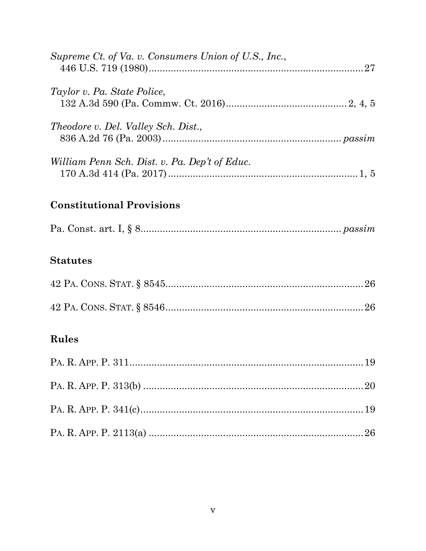| Supreme Ct. of Va. v. Consumers Union of U.S., Inc., |  |
|------------------------------------------------------|--|
| Taylor v. Pa. State Police,                          |  |
| <i>Theodore v. Del. Valley Sch. Dist.,</i>           |  |
| William Penn Sch. Dist. v. Pa. Dep't of Educ.        |  |

# **Constitutional Provisions**

|--|--|--|--|--|--|--|

# **Statutes**

# Rules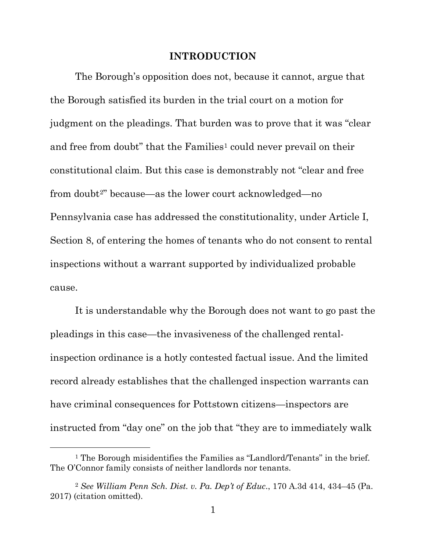#### **INTRODUCTION**

<span id="page-6-0"></span>The Borough's opposition does not, because it cannot, argue that the Borough satisfied its burden in the trial court on a motion for judgment on the pleadings. That burden was to prove that it was "clear and free from doubt" that the Families<sup>[1](#page-6-1)</sup> could never prevail on their constitutional claim. But this case is demonstrably not "clear and free from doubt<sup>[2"](#page-6-2)</sup> because—as the lower court acknowledged—no Pennsylvania case has addressed the constitutionality, under Article I, Section 8, of entering the homes of tenants who do not consent to rental inspections without a warrant supported by individualized probable cause.

It is understandable why the Borough does not want to go past the pleadings in this case—the invasiveness of the challenged rentalinspection ordinance is a hotly contested factual issue. And the limited record already establishes that the challenged inspection warrants can have criminal consequences for Pottstown citizens—inspectors are instructed from "day one" on the job that "they are to immediately walk

<span id="page-6-1"></span><sup>&</sup>lt;sup>1</sup> The Borough misidentifies the Families as "Landlord/Tenants" in the brief. The O'Connor family consists of neither landlords nor tenants.

<span id="page-6-2"></span><sup>2</sup> *See William Penn Sch. Dist. v. Pa. Dep't of Educ*., 170 A.3d 414, 434–45 (Pa. 2017) (citation omitted).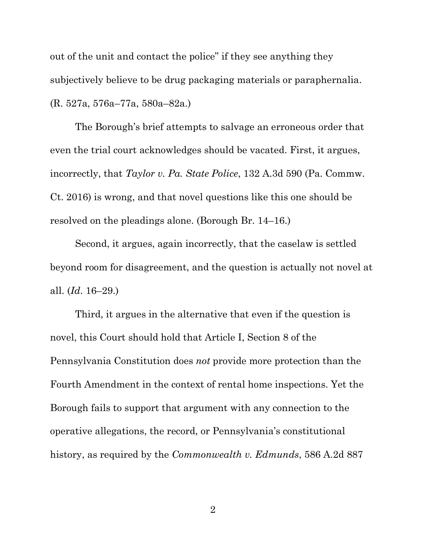out of the unit and contact the police" if they see anything they subjectively believe to be drug packaging materials or paraphernalia. (R. 527a, 576a–77a, 580a–82a.)

The Borough's brief attempts to salvage an erroneous order that even the trial court acknowledges should be vacated. First, it argues, incorrectly, that *Taylor v. Pa. State Police*, 132 A.3d 590 (Pa. Commw. Ct. 2016) is wrong, and that novel questions like this one should be resolved on the pleadings alone. (Borough Br. 14–16.)

Second, it argues, again incorrectly, that the caselaw is settled beyond room for disagreement, and the question is actually not novel at all. (*Id*. 16–29.)

Third, it argues in the alternative that even if the question is novel, this Court should hold that Article I, Section 8 of the Pennsylvania Constitution does *not* provide more protection than the Fourth Amendment in the context of rental home inspections. Yet the Borough fails to support that argument with any connection to the operative allegations, the record, or Pennsylvania's constitutional history, as required by the *Commonwealth v. Edmunds*, 586 A.2d 887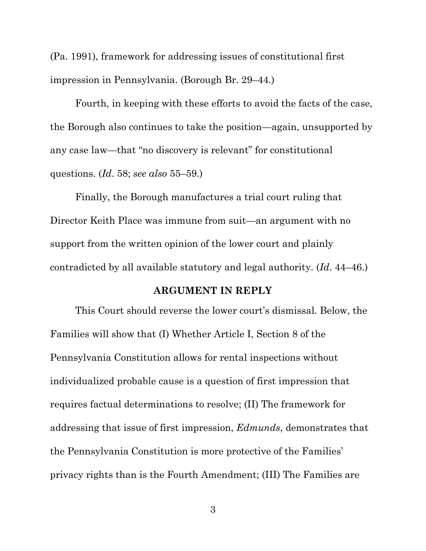(Pa. 1991), framework for addressing issues of constitutional first impression in Pennsylvania. (Borough Br. 29–44.)

Fourth, in keeping with these efforts to avoid the facts of the case, the Borough also continues to take the position—again, unsupported by any case law—that "no discovery is relevant" for constitutional questions. (*Id*. 58; *see also* 55–59.)

Finally, the Borough manufactures a trial court ruling that Director Keith Place was immune from suit—an argument with no support from the written opinion of the lower court and plainly contradicted by all available statutory and legal authority. (*Id*. 44–46.)

### **ARGUMENT IN REPLY**

<span id="page-8-0"></span>This Court should reverse the lower court's dismissal. Below, the Families will show that (I) Whether Article I, Section 8 of the Pennsylvania Constitution allows for rental inspections without individualized probable cause is a question of first impression that requires factual determinations to resolve; (II) The framework for addressing that issue of first impression, *Edmunds*, demonstrates that the Pennsylvania Constitution is more protective of the Families' privacy rights than is the Fourth Amendment; (III) The Families are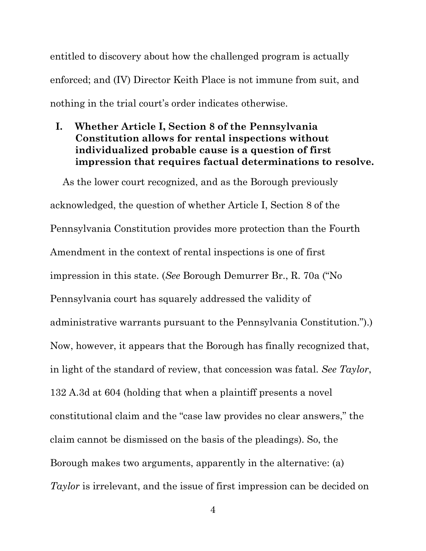entitled to discovery about how the challenged program is actually enforced; and (IV) Director Keith Place is not immune from suit, and nothing in the trial court's order indicates otherwise.

# <span id="page-9-0"></span>**I. Whether Article I, Section 8 of the Pennsylvania Constitution allows for rental inspections without individualized probable cause is a question of first impression that requires factual determinations to resolve.**

As the lower court recognized, and as the Borough previously acknowledged, the question of whether Article I, Section 8 of the Pennsylvania Constitution provides more protection than the Fourth Amendment in the context of rental inspections is one of first impression in this state. (*See* Borough Demurrer Br., R. 70a ("No Pennsylvania court has squarely addressed the validity of administrative warrants pursuant to the Pennsylvania Constitution.").) Now, however, it appears that the Borough has finally recognized that, in light of the standard of review, that concession was fatal. *See Taylor*, 132 A.3d at 604 (holding that when a plaintiff presents a novel constitutional claim and the "case law provides no clear answers," the claim cannot be dismissed on the basis of the pleadings). So, the Borough makes two arguments, apparently in the alternative: (a) *Taylor* is irrelevant, and the issue of first impression can be decided on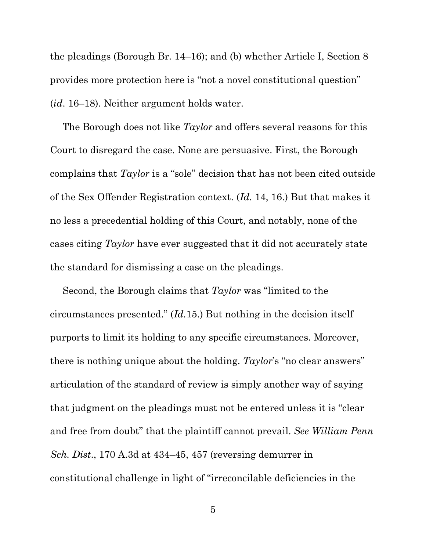the pleadings (Borough Br. 14–16); and (b) whether Article I, Section 8 provides more protection here is "not a novel constitutional question" (*id*. 16–18). Neither argument holds water.

The Borough does not like *Taylor* and offers several reasons for this Court to disregard the case. None are persuasive. First, the Borough complains that *Taylor* is a "sole" decision that has not been cited outside of the Sex Offender Registration context. (*Id.* 14, 16.) But that makes it no less a precedential holding of this Court, and notably, none of the cases citing *Taylor* have ever suggested that it did not accurately state the standard for dismissing a case on the pleadings.

Second, the Borough claims that *Taylor* was "limited to the circumstances presented." (*Id.*15.) But nothing in the decision itself purports to limit its holding to any specific circumstances. Moreover, there is nothing unique about the holding. *Taylor*'s "no clear answers" articulation of the standard of review is simply another way of saying that judgment on the pleadings must not be entered unless it is "clear and free from doubt" that the plaintiff cannot prevail. *See William Penn Sch. Dist*., 170 A.3d at 434–45, 457 (reversing demurrer in constitutional challenge in light of "irreconcilable deficiencies in the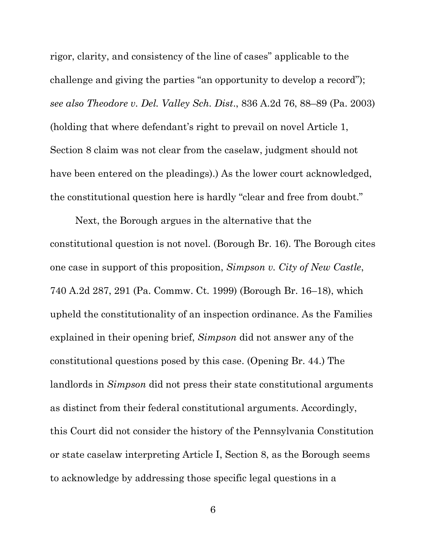rigor, clarity, and consistency of the line of cases" applicable to the challenge and giving the parties "an opportunity to develop a record"); *see also Theodore v. Del. Valley Sch. Dist*., 836 A.2d 76, 88–89 (Pa. 2003) (holding that where defendant's right to prevail on novel Article 1, Section 8 claim was not clear from the caselaw, judgment should not have been entered on the pleadings).) As the lower court acknowledged, the constitutional question here is hardly "clear and free from doubt."

Next, the Borough argues in the alternative that the constitutional question is not novel. (Borough Br. 16). The Borough cites one case in support of this proposition, *Simpson v. City of New Castle*, 740 A.2d 287, 291 (Pa. Commw. Ct. 1999) (Borough Br. 16–18), which upheld the constitutionality of an inspection ordinance. As the Families explained in their opening brief, *Simpson* did not answer any of the constitutional questions posed by this case. (Opening Br. 44.) The landlords in *Simpson* did not press their state constitutional arguments as distinct from their federal constitutional arguments. Accordingly, this Court did not consider the history of the Pennsylvania Constitution or state caselaw interpreting Article I, Section 8, as the Borough seems to acknowledge by addressing those specific legal questions in a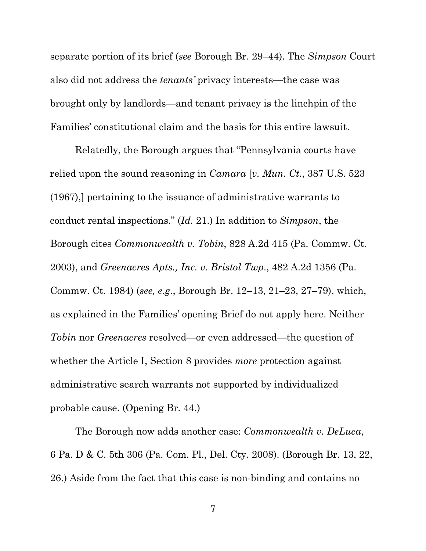separate portion of its brief (*see* Borough Br. 29–44). The *Simpson* Court also did not address the *tenants'* privacy interests—the case was brought only by landlords—and tenant privacy is the linchpin of the Families' constitutional claim and the basis for this entire lawsuit.

Relatedly, the Borough argues that "Pennsylvania courts have relied upon the sound reasoning in *Camara* [*v. Mun. Ct*., 387 U.S. 523 (1967),] pertaining to the issuance of administrative warrants to conduct rental inspections." (*Id.* 21.) In addition to *Simpson*, the Borough cites *Commonwealth v. Tobin*, 828 A.2d 415 (Pa. Commw. Ct. 2003), and *Greenacres Apts., Inc. v. Bristol Twp*., 482 A.2d 1356 (Pa. Commw. Ct. 1984) (*see, e.g*., Borough Br. 12–13, 21–23, 27–79), which, as explained in the Families' opening Brief do not apply here. Neither *Tobin* nor *Greenacres* resolved—or even addressed—the question of whether the Article I, Section 8 provides *more* protection against administrative search warrants not supported by individualized probable cause. (Opening Br. 44.)

The Borough now adds another case: *Commonwealth v. DeLuca*, 6 Pa. D & C. 5th 306 (Pa. Com. Pl., Del. Cty. 2008). (Borough Br. 13, 22, 26.) Aside from the fact that this case is non-binding and contains no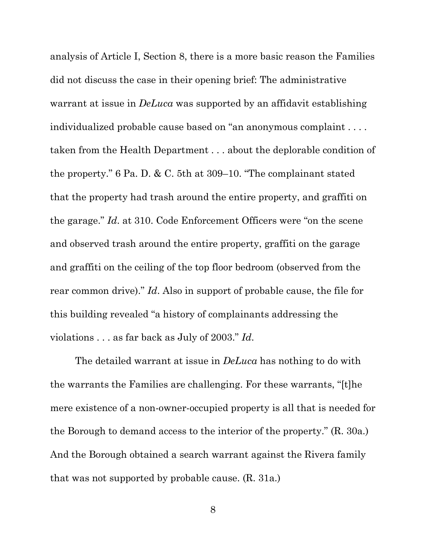analysis of Article I, Section 8, there is a more basic reason the Families did not discuss the case in their opening brief: The administrative warrant at issue in *DeLuca* was supported by an affidavit establishing individualized probable cause based on "an anonymous complaint . . . . taken from the Health Department . . . about the deplorable condition of the property." 6 Pa. D. & C. 5th at 309–10. "The complainant stated that the property had trash around the entire property, and graffiti on the garage." *Id*. at 310. Code Enforcement Officers were "on the scene and observed trash around the entire property, graffiti on the garage and graffiti on the ceiling of the top floor bedroom (observed from the rear common drive)." *Id*. Also in support of probable cause, the file for this building revealed "a history of complainants addressing the violations . . . as far back as July of 2003." *Id*.

The detailed warrant at issue in *DeLuca* has nothing to do with the warrants the Families are challenging. For these warrants, "[t]he mere existence of a non-owner-occupied property is all that is needed for the Borough to demand access to the interior of the property." (R. 30a.) And the Borough obtained a search warrant against the Rivera family that was not supported by probable cause. (R. 31a.)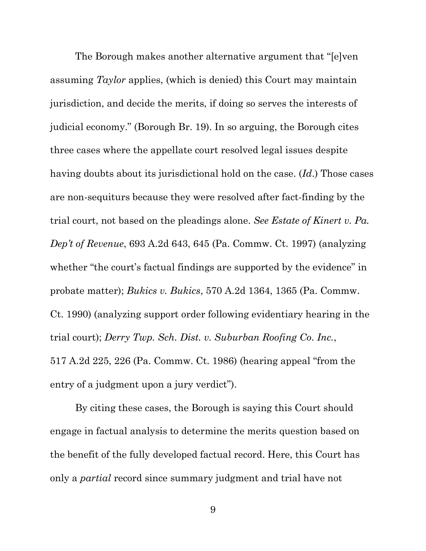The Borough makes another alternative argument that "[e]ven assuming *Taylor* applies, (which is denied) this Court may maintain jurisdiction, and decide the merits, if doing so serves the interests of judicial economy." (Borough Br. 19). In so arguing, the Borough cites three cases where the appellate court resolved legal issues despite having doubts about its jurisdictional hold on the case. (*Id*.) Those cases are non-sequiturs because they were resolved after fact-finding by the trial court, not based on the pleadings alone. *See Estate of Kinert v. Pa. Dep't of Revenue*, 693 A.2d 643, 645 (Pa. Commw. Ct. 1997) (analyzing whether "the court's factual findings are supported by the evidence" in probate matter); *Bukics v. Bukics*, 570 A.2d 1364, 1365 (Pa. Commw. Ct. 1990) (analyzing support order following evidentiary hearing in the trial court); *Derry Twp. Sch. Dist. v. Suburban Roofing Co*. *Inc.*, 517 A.2d 225, 226 (Pa. Commw. Ct. 1986) (hearing appeal "from the entry of a judgment upon a jury verdict").

By citing these cases, the Borough is saying this Court should engage in factual analysis to determine the merits question based on the benefit of the fully developed factual record. Here, this Court has only a *partial* record since summary judgment and trial have not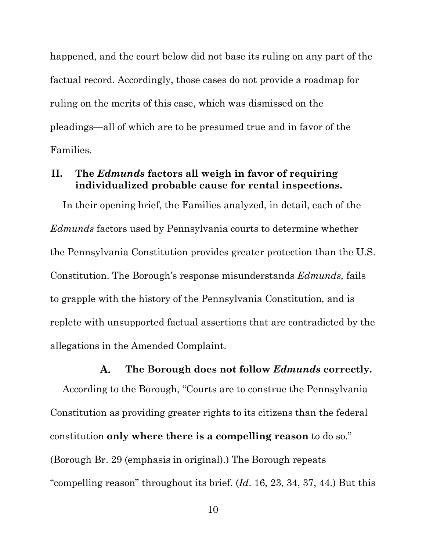happened, and the court below did not base its ruling on any part of the factual record. Accordingly, those cases do not provide a roadmap for ruling on the merits of this case, which was dismissed on the pleadings—all of which are to be presumed true and in favor of the Families.

## <span id="page-15-0"></span>**II. The** *Edmunds* **factors all weigh in favor of requiring individualized probable cause for rental inspections.**

In their opening brief, the Families analyzed, in detail, each of the *Edmunds* factors used by Pennsylvania courts to determine whether the Pennsylvania Constitution provides greater protection than the U.S. Constitution. The Borough's response misunderstands *Edmunds,* fails to grapple with the history of the Pennsylvania Constitution*,* and is replete with unsupported factual assertions that are contradicted by the allegations in the Amended Complaint.

#### $\mathbf{A}$ . **The Borough does not follow** *Edmunds* **correctly.**

<span id="page-15-1"></span>According to the Borough, "Courts are to construe the Pennsylvania Constitution as providing greater rights to its citizens than the federal constitution **only where there is a compelling reason** to do so." (Borough Br. 29 (emphasis in original).) The Borough repeats "compelling reason" throughout its brief. (*Id*. 16, 23, 34, 37, 44.) But this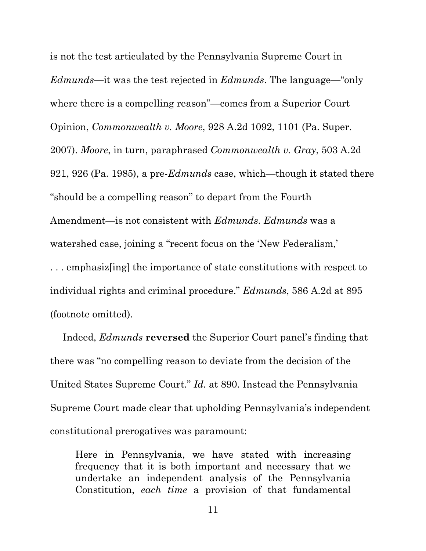is not the test articulated by the Pennsylvania Supreme Court in *Edmunds*—it was the test rejected in *Edmunds*. The language—"only where there is a compelling reason"—comes from a Superior Court Opinion, *Commonwealth v. Moore*, 928 A.2d 1092, 1101 (Pa. Super. 2007). *Moore*, in turn, paraphrased *Commonwealth v. Gray*, 503 A.2d 921, 926 (Pa. 1985), a pre-*Edmunds* case, which—though it stated there "should be a compelling reason" to depart from the Fourth Amendment—is not consistent with *Edmunds*. *Edmunds* was a watershed case, joining a "recent focus on the 'New Federalism,' . . . emphasiz[ing] the importance of state constitutions with respect to individual rights and criminal procedure." *Edmunds*, 586 A.2d at 895 (footnote omitted).

Indeed, *Edmunds* **reversed** the Superior Court panel's finding that there was "no compelling reason to deviate from the decision of the United States Supreme Court." *Id.* at 890. Instead the Pennsylvania Supreme Court made clear that upholding Pennsylvania's independent constitutional prerogatives was paramount:

Here in Pennsylvania, we have stated with increasing frequency that it is both important and necessary that we undertake an independent analysis of the Pennsylvania Constitution, *each time* a provision of that fundamental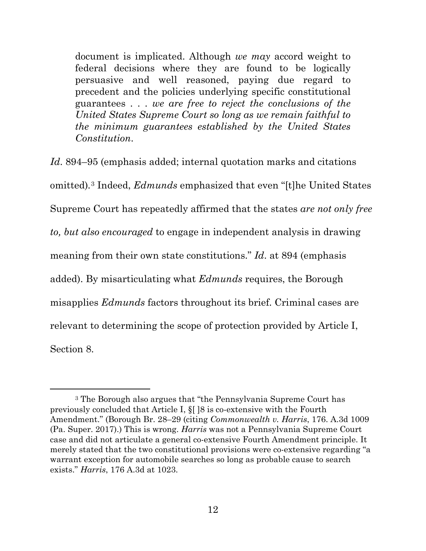document is implicated. Although *we may* accord weight to federal decisions where they are found to be logically persuasive and well reasoned, paying due regard to precedent and the policies underlying specific constitutional guarantees . . . *we are free to reject the conclusions of the United States Supreme Court so long as we remain faithful to the minimum guarantees established by the United States Constitution*.

*Id*. 894–95 (emphasis added; internal quotation marks and citations omitted)*.*[3](#page-17-0) Indeed, *Edmunds* emphasized that even "[t]he United States Supreme Court has repeatedly affirmed that the states *are not only free to, but also encouraged* to engage in independent analysis in drawing meaning from their own state constitutions." *Id*. at 894 (emphasis added). By misarticulating what *Edmunds* requires, the Borough misapplies *Edmunds* factors throughout its brief. Criminal cases are relevant to determining the scope of protection provided by Article I, Section 8.

<span id="page-17-0"></span><sup>3</sup> The Borough also argues that "the Pennsylvania Supreme Court has previously concluded that Article I, §[ ]8 is co-extensive with the Fourth Amendment." (Borough Br. 28–29 (citing *Commonwealth v. Harris*, 176. A.3d 1009 (Pa. Super. 2017).) This is wrong. *Harris* was not a Pennsylvania Supreme Court case and did not articulate a general co-extensive Fourth Amendment principle. It merely stated that the two constitutional provisions were co-extensive regarding "a warrant exception for automobile searches so long as probable cause to search exists." *Harris*, 176 A.3d at 1023.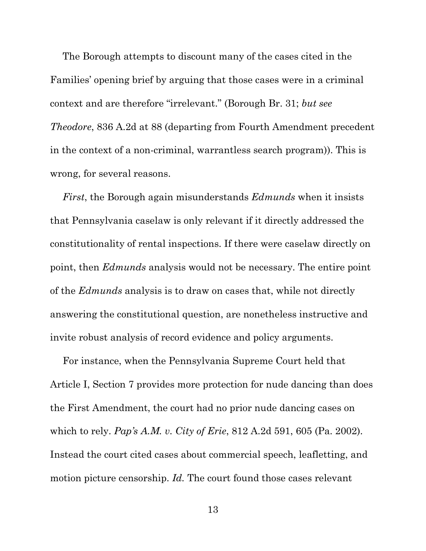The Borough attempts to discount many of the cases cited in the Families' opening brief by arguing that those cases were in a criminal context and are therefore "irrelevant." (Borough Br. 31; *but see Theodore*, 836 A.2d at 88 (departing from Fourth Amendment precedent in the context of a non-criminal, warrantless search program)). This is wrong, for several reasons.

*First*, the Borough again misunderstands *Edmunds* when it insists that Pennsylvania caselaw is only relevant if it directly addressed the constitutionality of rental inspections. If there were caselaw directly on point, then *Edmunds* analysis would not be necessary. The entire point of the *Edmunds* analysis is to draw on cases that, while not directly answering the constitutional question, are nonetheless instructive and invite robust analysis of record evidence and policy arguments.

For instance, when the Pennsylvania Supreme Court held that Article I, Section 7 provides more protection for nude dancing than does the First Amendment, the court had no prior nude dancing cases on which to rely. *Pap's A.M. v. City of Erie*, 812 A.2d 591, 605 (Pa. 2002). Instead the court cited cases about commercial speech, leafletting, and motion picture censorship. *Id.* The court found those cases relevant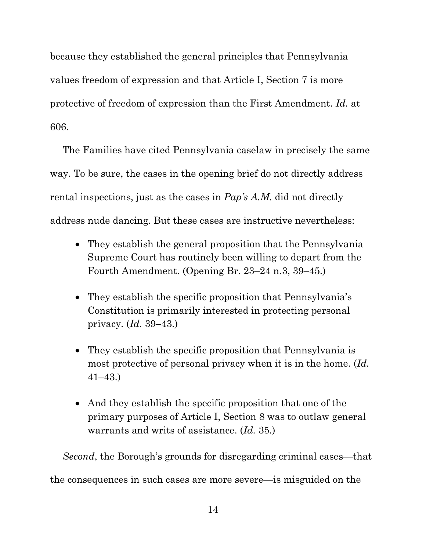because they established the general principles that Pennsylvania values freedom of expression and that Article I, Section 7 is more protective of freedom of expression than the First Amendment. *Id.* at 606.

The Families have cited Pennsylvania caselaw in precisely the same way. To be sure, the cases in the opening brief do not directly address rental inspections, just as the cases in *Pap's A.M.* did not directly address nude dancing. But these cases are instructive nevertheless:

- They establish the general proposition that the Pennsylvania Supreme Court has routinely been willing to depart from the Fourth Amendment. (Opening Br. 23–24 n.3, 39–45.)
- They establish the specific proposition that Pennsylvania's Constitution is primarily interested in protecting personal privacy. (*Id.* 39–43.)
- They establish the specific proposition that Pennsylvania is most protective of personal privacy when it is in the home. (*Id.* 41–43.)
- And they establish the specific proposition that one of the primary purposes of Article I, Section 8 was to outlaw general warrants and writs of assistance. (*Id.* 35.)

*Second*, the Borough's grounds for disregarding criminal cases—that the consequences in such cases are more severe—is misguided on the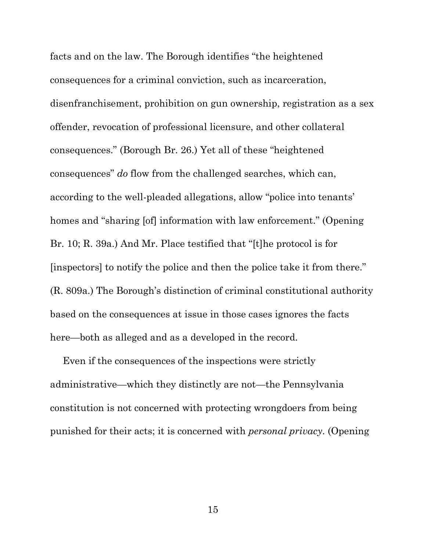facts and on the law. The Borough identifies "the heightened consequences for a criminal conviction, such as incarceration, disenfranchisement, prohibition on gun ownership, registration as a sex offender, revocation of professional licensure, and other collateral consequences." (Borough Br. 26.) Yet all of these "heightened consequences" *do* flow from the challenged searches, which can, according to the well-pleaded allegations, allow "police into tenants' homes and "sharing [of] information with law enforcement." (Opening Br. 10; R. 39a.) And Mr. Place testified that "[t]he protocol is for [inspectors] to notify the police and then the police take it from there." (R. 809a.) The Borough's distinction of criminal constitutional authority based on the consequences at issue in those cases ignores the facts here—both as alleged and as a developed in the record.

Even if the consequences of the inspections were strictly administrative—which they distinctly are not—the Pennsylvania constitution is not concerned with protecting wrongdoers from being punished for their acts; it is concerned with *personal privacy*. (Opening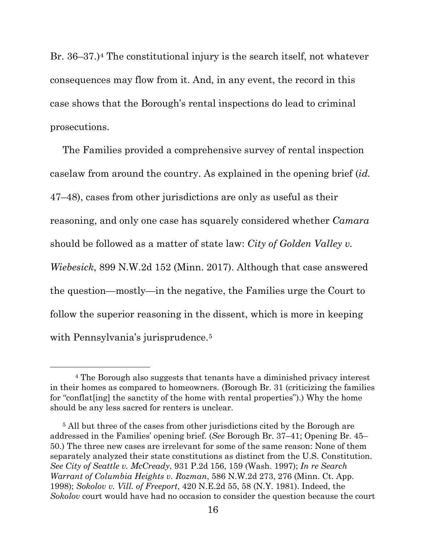Br. 36–37.)[4](#page-21-0) The constitutional injury is the search itself, not whatever consequences may flow from it. And, in any event, the record in this case shows that the Borough's rental inspections do lead to criminal prosecutions.

The Families provided a comprehensive survey of rental inspection caselaw from around the country. As explained in the opening brief (*id.* 47–48), cases from other jurisdictions are only as useful as their reasoning, and only one case has squarely considered whether *Camara*  should be followed as a matter of state law: *City of Golden Valley v. Wiebesick*, 899 N.W.2d 152 (Minn. 2017). Although that case answered the question—mostly—in the negative, the Families urge the Court to follow the superior reasoning in the dissent, which is more in keeping with Pennsylvania's jurisprudence.<sup>[5](#page-21-1)</sup>

<span id="page-21-0"></span><sup>4</sup> The Borough also suggests that tenants have a diminished privacy interest in their homes as compared to homeowners. (Borough Br. 31 (criticizing the families for "conflat[ing] the sanctity of the home with rental properties").) Why the home should be any less sacred for renters is unclear.

<span id="page-21-1"></span><sup>&</sup>lt;sup>5</sup> All but three of the cases from other jurisdictions cited by the Borough are addressed in the Families' opening brief. (*See* Borough Br. 37–41; Opening Br. 45– 50.) The three new cases are irrelevant for some of the same reason: None of them separately analyzed their state constitutions as distinct from the U.S. Constitution. *See City of Seattle v. McCready*, 931 P.2d 156, 159 (Wash. 1997); *In re Search Warrant of Columbia Heights v. Rozman*, 586 N.W.2d 273, 276 (Minn. Ct. App. 1998); *Sokolov v. Vill. of Freeport*, 420 N.E.2d 55, 58 (N.Y. 1981). Indeed, the *Sokolov* court would have had no occasion to consider the question because the court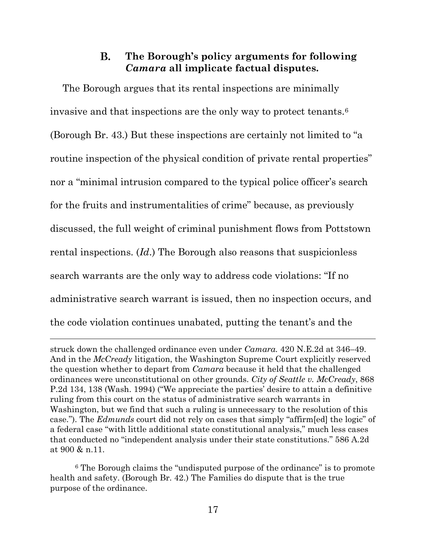#### **B. The Borough's policy arguments for following**  *Camara* **all implicate factual disputes.**

<span id="page-22-0"></span>The Borough argues that its rental inspections are minimally invasive and that inspections are the only way to protect tenants.[6](#page-22-1) (Borough Br. 43.) But these inspections are certainly not limited to "a routine inspection of the physical condition of private rental properties" nor a "minimal intrusion compared to the typical police officer's search for the fruits and instrumentalities of crime" because, as previously discussed, the full weight of criminal punishment flows from Pottstown rental inspections. (*Id*.) The Borough also reasons that suspicionless search warrants are the only way to address code violations: "If no administrative search warrant is issued, then no inspection occurs, and the code violation continues unabated, putting the tenant's and the

struck down the challenged ordinance even under *Camara.* 420 N.E.2d at 346–49. And in the *McCready* litigation, the Washington Supreme Court explicitly reserved the question whether to depart from *Camara* because it held that the challenged ordinances were unconstitutional on other grounds. *City of Seattle v. McCready*, 868 P.2d 134, 138 (Wash. 1994) ("We appreciate the parties' desire to attain a definitive ruling from this court on the status of administrative search warrants in Washington, but we find that such a ruling is unnecessary to the resolution of this case."). The *Edmunds* court did not rely on cases that simply "affirm[ed] the logic" of a federal case "with little additional state constitutional analysis," much less cases that conducted no "independent analysis under their state constitutions." 586 A.2d at 900 & n.11.

<span id="page-22-1"></span><sup>6</sup> The Borough claims the "undisputed purpose of the ordinance" is to promote health and safety. (Borough Br. 42.) The Families do dispute that is the true purpose of the ordinance.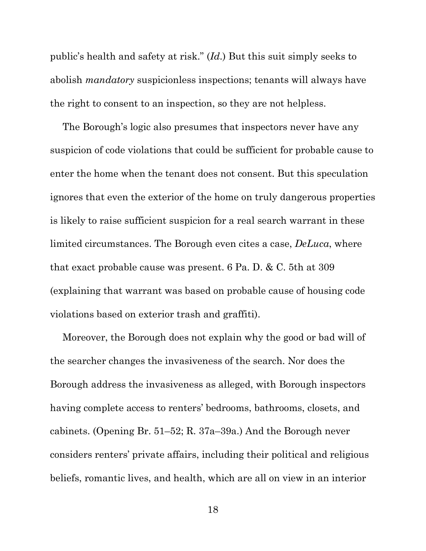public's health and safety at risk." (*Id*.) But this suit simply seeks to abolish *mandatory* suspicionless inspections; tenants will always have the right to consent to an inspection, so they are not helpless.

The Borough's logic also presumes that inspectors never have any suspicion of code violations that could be sufficient for probable cause to enter the home when the tenant does not consent. But this speculation ignores that even the exterior of the home on truly dangerous properties is likely to raise sufficient suspicion for a real search warrant in these limited circumstances. The Borough even cites a case, *DeLuca*, where that exact probable cause was present. 6 Pa. D. & C. 5th at 309 (explaining that warrant was based on probable cause of housing code violations based on exterior trash and graffiti).

Moreover, the Borough does not explain why the good or bad will of the searcher changes the invasiveness of the search. Nor does the Borough address the invasiveness as alleged, with Borough inspectors having complete access to renters' bedrooms, bathrooms, closets, and cabinets. (Opening Br. 51–52; R. 37a–39a.) And the Borough never considers renters' private affairs, including their political and religious beliefs, romantic lives, and health, which are all on view in an interior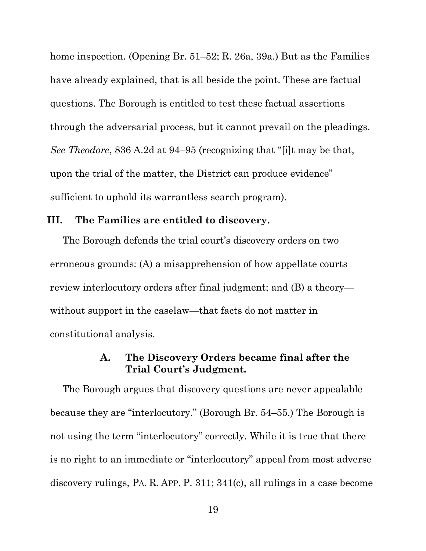home inspection. (Opening Br. 51–52; R. 26a, 39a.) But as the Families have already explained, that is all beside the point. These are factual questions. The Borough is entitled to test these factual assertions through the adversarial process, but it cannot prevail on the pleadings. *See Theodore*, 836 A.2d at 94–95 (recognizing that "[i]t may be that, upon the trial of the matter, the District can produce evidence" sufficient to uphold its warrantless search program).

#### <span id="page-24-0"></span>**III. The Families are entitled to discovery.**

The Borough defends the trial court's discovery orders on two erroneous grounds: (A) a misapprehension of how appellate courts review interlocutory orders after final judgment; and (B) a theory without support in the caselaw—that facts do not matter in constitutional analysis.

#### $\mathbf{A}$ . **The Discovery Orders became final after the Trial Court's Judgment.**

<span id="page-24-1"></span>The Borough argues that discovery questions are never appealable because they are "interlocutory." (Borough Br. 54–55.) The Borough is not using the term "interlocutory" correctly. While it is true that there is no right to an immediate or "interlocutory" appeal from most adverse discovery rulings, PA. R. APP. P. 311; 341(c), all rulings in a case become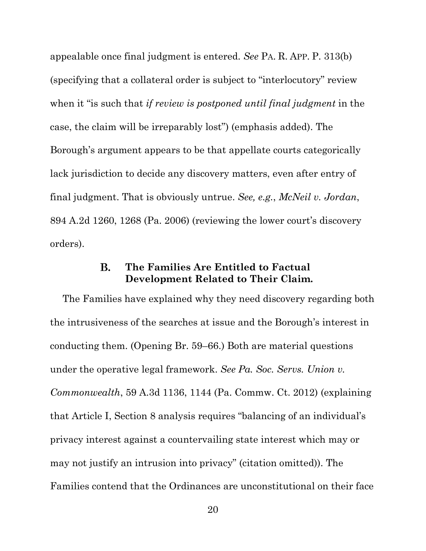appealable once final judgment is entered. *See* PA. R. APP. P. 313(b) (specifying that a collateral order is subject to "interlocutory" review when it "is such that *if review is postponed until final judgment* in the case, the claim will be irreparably lost") (emphasis added). The Borough's argument appears to be that appellate courts categorically lack jurisdiction to decide any discovery matters, even after entry of final judgment. That is obviously untrue. *See, e.g.*, *McNeil v. Jordan*, 894 A.2d 1260, 1268 (Pa. 2006) (reviewing the lower court's discovery orders).

#### **B. The Families Are Entitled to Factual Development Related to Their Claim.**

<span id="page-25-0"></span>The Families have explained why they need discovery regarding both the intrusiveness of the searches at issue and the Borough's interest in conducting them. (Opening Br. 59–66.) Both are material questions under the operative legal framework. *See Pa. Soc. Servs. Union v. Commonwealth*, 59 A.3d 1136, 1144 (Pa. Commw. Ct. 2012) (explaining that Article I, Section 8 analysis requires "balancing of an individual's privacy interest against a countervailing state interest which may or may not justify an intrusion into privacy" (citation omitted)). The Families contend that the Ordinances are unconstitutional on their face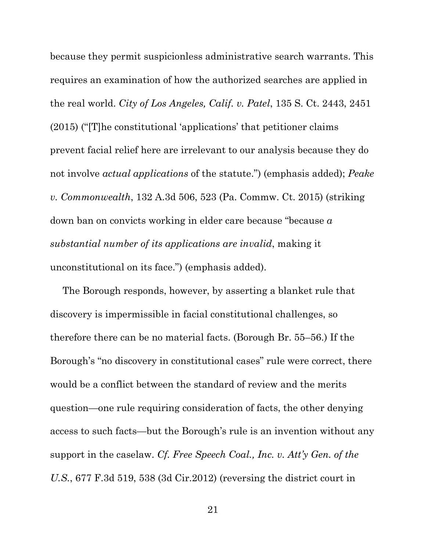because they permit suspicionless administrative search warrants. This requires an examination of how the authorized searches are applied in the real world. *City of Los Angeles, Calif. v. Patel*, 135 S. Ct. 2443, 2451 (2015) ("[T]he constitutional 'applications' that petitioner claims prevent facial relief here are irrelevant to our analysis because they do not involve *actual applications* of the statute.") (emphasis added); *Peake v. Commonwealth*, 132 A.3d 506, 523 (Pa. Commw. Ct. 2015) (striking down ban on convicts working in elder care because "because *a substantial number of its applications are invalid*, making it unconstitutional on its face.") (emphasis added).

The Borough responds, however, by asserting a blanket rule that discovery is impermissible in facial constitutional challenges, so therefore there can be no material facts. (Borough Br. 55–56.) If the Borough's "no discovery in constitutional cases" rule were correct, there would be a conflict between the standard of review and the merits question—one rule requiring consideration of facts, the other denying access to such facts—but the Borough's rule is an invention without any support in the caselaw. *Cf. Free Speech Coal., Inc. v. Att'y Gen. of the U.S.*, 677 F.3d 519, 538 (3d Cir.2012) (reversing the district court in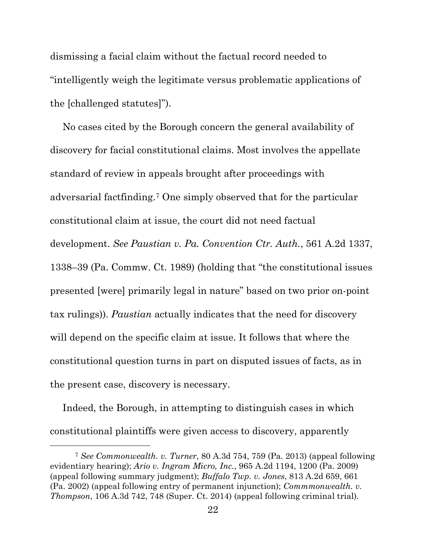dismissing a facial claim without the factual record needed to "intelligently weigh the legitimate versus problematic applications of the [challenged statutes]").

No cases cited by the Borough concern the general availability of discovery for facial constitutional claims. Most involves the appellate standard of review in appeals brought after proceedings with adversarial factfinding.[7](#page-27-0) One simply observed that for the particular constitutional claim at issue, the court did not need factual development. *See Paustian v. Pa. Convention Ctr. Auth.*, 561 A.2d 1337, 1338–39 (Pa. Commw. Ct. 1989) (holding that "the constitutional issues presented [were] primarily legal in nature" based on two prior on-point tax rulings)). *Paustian* actually indicates that the need for discovery will depend on the specific claim at issue. It follows that where the constitutional question turns in part on disputed issues of facts, as in the present case, discovery is necessary.

Indeed, the Borough, in attempting to distinguish cases in which constitutional plaintiffs were given access to discovery, apparently

<span id="page-27-0"></span><sup>7</sup> *See Commonwealth. v. Turner*, 80 A.3d 754, 759 (Pa. 2013) (appeal following evidentiary hearing); *Ario v. Ingram Micro, Inc.*, 965 A.2d 1194, 1200 (Pa. 2009) (appeal following summary judgment); *Buffalo Twp. v. Jones*, 813 A.2d 659, 661 (Pa. 2002) (appeal following entry of permanent injunction); *Commmonwealth. v. Thompson*, 106 A.3d 742, 748 (Super. Ct. 2014) (appeal following criminal trial).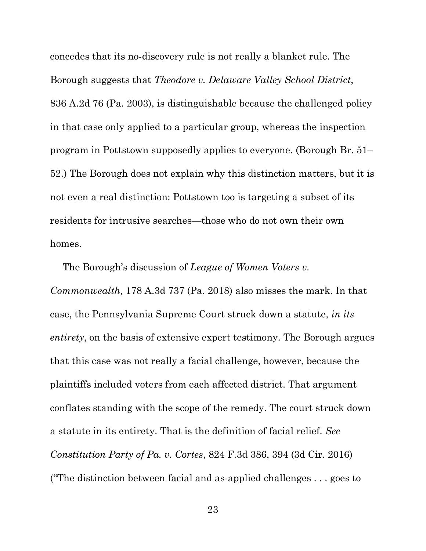concedes that its no-discovery rule is not really a blanket rule. The Borough suggests that *Theodore v. Delaware Valley School District*, 836 A.2d 76 (Pa. 2003), is distinguishable because the challenged policy in that case only applied to a particular group, whereas the inspection program in Pottstown supposedly applies to everyone. (Borough Br. 51– 52.) The Borough does not explain why this distinction matters, but it is not even a real distinction: Pottstown too is targeting a subset of its residents for intrusive searches—those who do not own their own homes.

The Borough's discussion of *League of Women Voters v. Commonwealth,* 178 A.3d 737 (Pa. 2018) also misses the mark. In that case, the Pennsylvania Supreme Court struck down a statute, *in its entirety*, on the basis of extensive expert testimony. The Borough argues that this case was not really a facial challenge, however, because the plaintiffs included voters from each affected district. That argument conflates standing with the scope of the remedy. The court struck down a statute in its entirety. That is the definition of facial relief. *See Constitution Party of Pa. v. Cortes*, 824 F.3d 386, 394 (3d Cir. 2016) ("The distinction between facial and as-applied challenges . . . goes to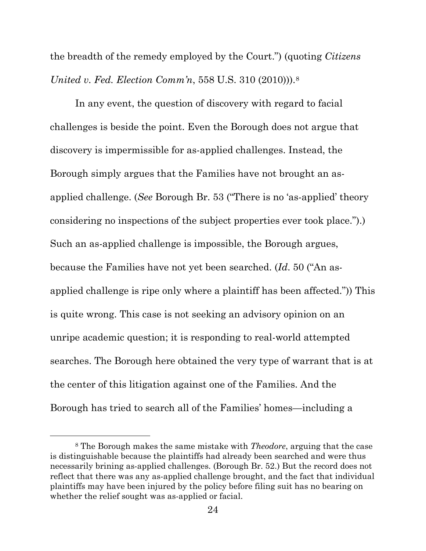the breadth of the remedy employed by the Court.") (quoting *Citizens United v. Fed. Election Comm'n*, 558 U.S. 310 (2010))).[8](#page-29-0)

In any event, the question of discovery with regard to facial challenges is beside the point. Even the Borough does not argue that discovery is impermissible for as-applied challenges. Instead, the Borough simply argues that the Families have not brought an asapplied challenge. (*See* Borough Br. 53 ("There is no 'as-applied' theory considering no inspections of the subject properties ever took place.").) Such an as-applied challenge is impossible, the Borough argues, because the Families have not yet been searched. (*Id*. 50 ("An asapplied challenge is ripe only where a plaintiff has been affected.")) This is quite wrong. This case is not seeking an advisory opinion on an unripe academic question; it is responding to real-world attempted searches. The Borough here obtained the very type of warrant that is at the center of this litigation against one of the Families. And the Borough has tried to search all of the Families' homes—including a

<span id="page-29-0"></span><sup>8</sup> The Borough makes the same mistake with *Theodore*, arguing that the case is distinguishable because the plaintiffs had already been searched and were thus necessarily brining as-applied challenges. (Borough Br. 52.) But the record does not reflect that there was any as-applied challenge brought, and the fact that individual plaintiffs may have been injured by the policy before filing suit has no bearing on whether the relief sought was as-applied or facial.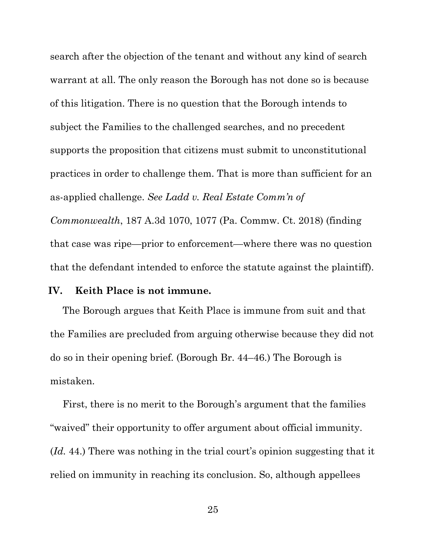search after the objection of the tenant and without any kind of search warrant at all. The only reason the Borough has not done so is because of this litigation. There is no question that the Borough intends to subject the Families to the challenged searches, and no precedent supports the proposition that citizens must submit to unconstitutional practices in order to challenge them. That is more than sufficient for an as-applied challenge. *See Ladd v. Real Estate Comm'n of Commonwealth*, 187 A.3d 1070, 1077 (Pa. Commw. Ct. 2018) (finding

that the defendant intended to enforce the statute against the plaintiff).

that case was ripe—prior to enforcement—where there was no question

#### <span id="page-30-0"></span>**IV. Keith Place is not immune.**

The Borough argues that Keith Place is immune from suit and that the Families are precluded from arguing otherwise because they did not do so in their opening brief. (Borough Br. 44–46.) The Borough is mistaken.

First, there is no merit to the Borough's argument that the families "waived" their opportunity to offer argument about official immunity. (*Id.* 44.) There was nothing in the trial court's opinion suggesting that it relied on immunity in reaching its conclusion. So, although appellees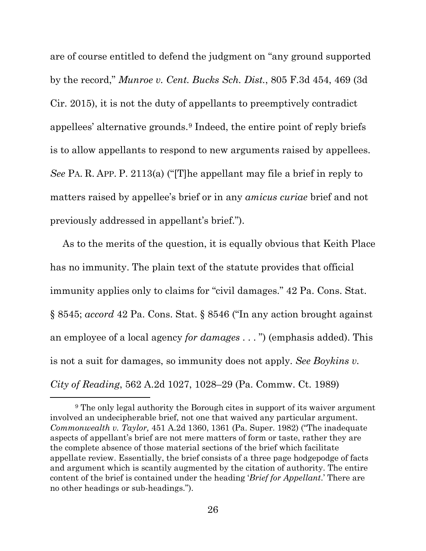are of course entitled to defend the judgment on "any ground supported by the record," *Munroe v. Cent. Bucks Sch. Dist.*, 805 F.3d 454, 469 (3d Cir. 2015), it is not the duty of appellants to preemptively contradict appellees' alternative grounds.[9](#page-31-0) Indeed, the entire point of reply briefs is to allow appellants to respond to new arguments raised by appellees. *See* PA. R. APP. P. 2113(a) ("[T]he appellant may file a brief in reply to matters raised by appellee's brief or in any *amicus curiae* brief and not previously addressed in appellant's brief.").

As to the merits of the question, it is equally obvious that Keith Place has no immunity. The plain text of the statute provides that official immunity applies only to claims for "civil damages." 42 Pa. Cons. Stat. § 8545; *accord* 42 Pa. Cons. Stat. § 8546 ("In any action brought against an employee of a local agency *for damages* . . . ") (emphasis added). This is not a suit for damages, so immunity does not apply. *See Boykins v. City of Reading*, 562 A.2d 1027, 1028–29 (Pa. Commw. Ct. 1989)

<span id="page-31-0"></span><sup>9</sup> The only legal authority the Borough cites in support of its waiver argument involved an undecipherable brief, not one that waived any particular argument. *Commonwealth v. Taylor,* 451 A.2d 1360, 1361 (Pa. Super. 1982) ("The inadequate aspects of appellant's brief are not mere matters of form or taste, rather they are the complete absence of those material sections of the brief which facilitate appellate review. Essentially, the brief consists of a three page hodgepodge of facts and argument which is scantily augmented by the citation of authority. The entire content of the brief is contained under the heading '*Brief for Appellant*.' There are no other headings or sub-headings.").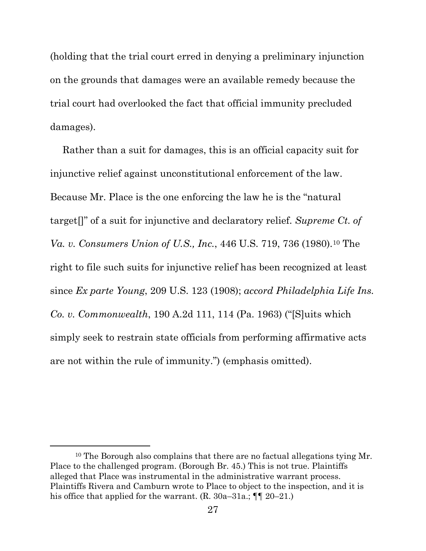(holding that the trial court erred in denying a preliminary injunction on the grounds that damages were an available remedy because the trial court had overlooked the fact that official immunity precluded damages).

Rather than a suit for damages, this is an official capacity suit for injunctive relief against unconstitutional enforcement of the law. Because Mr. Place is the one enforcing the law he is the "natural target[]" of a suit for injunctive and declaratory relief. *Supreme Ct. of Va. v. Consumers Union of U.S., Inc.,* 446 U.S. 719, 736 (1980).<sup>[10](#page-32-0)</sup> The right to file such suits for injunctive relief has been recognized at least since *Ex parte Young*, 209 U.S. 123 (1908); *accord Philadelphia Life Ins. Co. v. Commonwealth*, 190 A.2d 111, 114 (Pa. 1963) ("[S]uits which simply seek to restrain state officials from performing affirmative acts are not within the rule of immunity.") (emphasis omitted).

<span id="page-32-0"></span><sup>&</sup>lt;sup>10</sup> The Borough also complains that there are no factual allegations tying Mr. Place to the challenged program. (Borough Br. 45.) This is not true. Plaintiffs alleged that Place was instrumental in the administrative warrant process. Plaintiffs Rivera and Camburn wrote to Place to object to the inspection, and it is his office that applied for the warrant. (R. 30a–31a.;  $\P\P$  20–21.)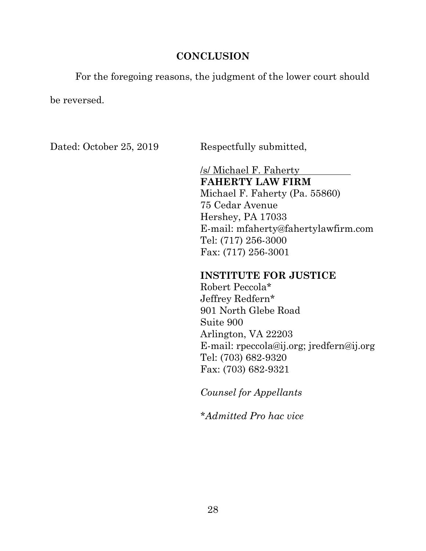### **CONCLUSION**

<span id="page-33-0"></span>For the foregoing reasons, the judgment of the lower court should

be reversed.

Dated: October 25, 2019 Respectfully submitted,

/s/ Michael F. Faherty **FAHERTY LAW FIRM** Michael F. Faherty (Pa. 55860) 75 Cedar Avenue Hershey, PA 17033 E-mail: mfaherty@fahertylawfirm.com Tel: (717) 256-3000 Fax: (717) 256-3001

# **INSTITUTE FOR JUSTICE**

Robert Peccola\* Jeffrey Redfern\* 901 North Glebe Road Suite 900 Arlington, VA 22203 E-mail: rpeccola@ij.org; jredfern@ij.org Tel: (703) 682-9320 Fax: (703) 682-9321

*Counsel for Appellants*

*\*Admitted Pro hac vice*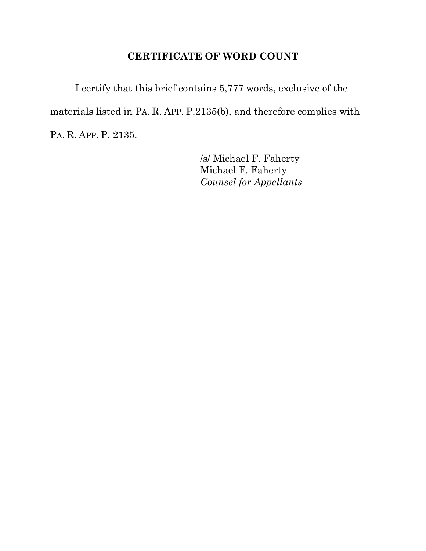# **CERTIFICATE OF WORD COUNT**

I certify that this brief contains 5,777 words, exclusive of the materials listed in PA. R. APP. P.2135(b), and therefore complies with PA. R. APP. P. 2135.

> /s/ Michael F. Faherty Michael F. Faherty *Counsel for Appellants*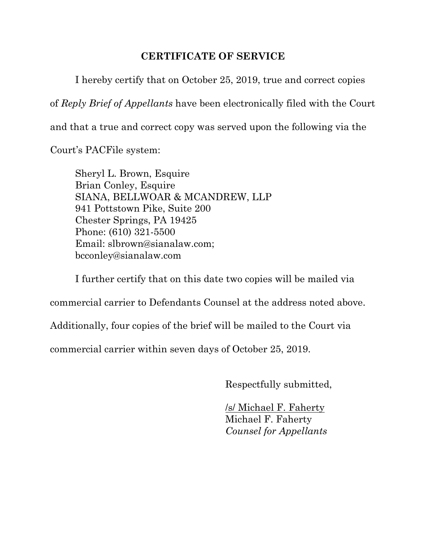## **CERTIFICATE OF SERVICE**

I hereby certify that on October 25, 2019, true and correct copies

of *Reply Brief of Appellants* have been electronically filed with the Court

and that a true and correct copy was served upon the following via the

Court's PACFile system:

Sheryl L. Brown, Esquire Brian Conley, Esquire SIANA, BELLWOAR & MCANDREW, LLP 941 Pottstown Pike, Suite 200 Chester Springs, PA 19425 Phone: (610) 321-5500 Email: slbrown@sianalaw.com; bcconley@sianalaw.com

I further certify that on this date two copies will be mailed via commercial carrier to Defendants Counsel at the address noted above.

Additionally, four copies of the brief will be mailed to the Court via

commercial carrier within seven days of October 25, 2019.

Respectfully submitted,

/s/ Michael F. Faherty Michael F. Faherty *Counsel for Appellants*